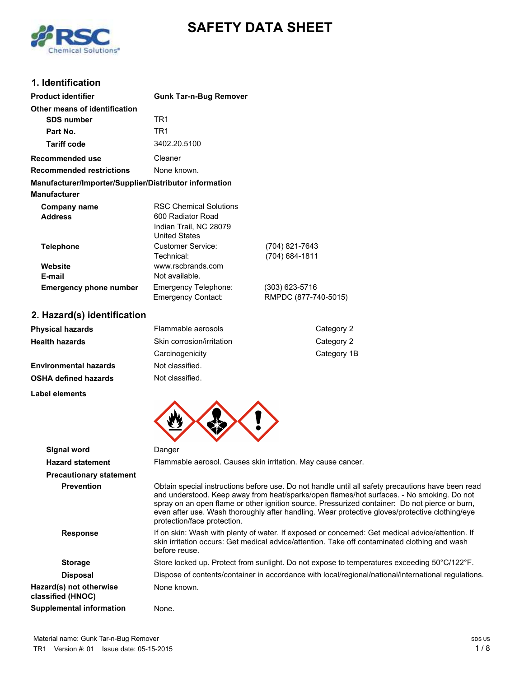

## **SAFETY DATA SHEET**

### **1. Identification**

| <b>Product identifier</b>                              | <b>Gunk Tar-n-Bug Remover</b>                      |                                        |
|--------------------------------------------------------|----------------------------------------------------|----------------------------------------|
| Other means of identification                          |                                                    |                                        |
| <b>SDS number</b>                                      | TR1                                                |                                        |
| Part No.                                               | TR <sub>1</sub>                                    |                                        |
| <b>Tariff code</b>                                     | 3402.20.5100                                       |                                        |
| Recommended use                                        | Cleaner                                            |                                        |
| <b>Recommended restrictions</b>                        | None known.                                        |                                        |
| Manufacturer/Importer/Supplier/Distributor information |                                                    |                                        |
| <b>Manufacturer</b>                                    |                                                    |                                        |
| Company name<br><b>Address</b>                         | <b>RSC Chemical Solutions</b><br>600 Radiator Road |                                        |
|                                                        | Indian Trail, NC 28079<br><b>United States</b>     |                                        |
| <b>Telephone</b>                                       | Customer Service:<br>Technical:                    | (704) 821-7643<br>(704) 684-1811       |
| Website                                                | www.rscbrands.com                                  |                                        |
| E-mail                                                 | Not available.                                     |                                        |
| <b>Emergency phone number</b>                          | Emergency Telephone:<br><b>Emergency Contact:</b>  | (303) 623-5716<br>RMPDC (877-740-5015) |
| 2. Hazard(s) identification                            |                                                    |                                        |

## **Physical hazards** Flammable aerosols Category 2 **Health hazards** Skin corrosion/irritation Category 2 Carcinogenicity Category 1B **Environmental hazards** Not classified. **OSHA defined hazards** Not classified.

# **Label elements**

| Signal word                                  | Danger                                                                                                                                                                                                                                                                                                                                                                                                                            |
|----------------------------------------------|-----------------------------------------------------------------------------------------------------------------------------------------------------------------------------------------------------------------------------------------------------------------------------------------------------------------------------------------------------------------------------------------------------------------------------------|
| <b>Hazard statement</b>                      | Flammable aerosol. Causes skin irritation. May cause cancer.                                                                                                                                                                                                                                                                                                                                                                      |
| <b>Precautionary statement</b>               |                                                                                                                                                                                                                                                                                                                                                                                                                                   |
| <b>Prevention</b>                            | Obtain special instructions before use. Do not handle until all safety precautions have been read<br>and understood. Keep away from heat/sparks/open flames/hot surfaces. - No smoking. Do not<br>spray on an open flame or other ignition source. Pressurized container: Do not pierce or burn,<br>even after use. Wash thoroughly after handling. Wear protective gloves/protective clothing/eye<br>protection/face protection. |
| <b>Response</b>                              | If on skin: Wash with plenty of water. If exposed or concerned: Get medical advice/attention. If<br>skin irritation occurs: Get medical advice/attention. Take off contaminated clothing and wash<br>before reuse.                                                                                                                                                                                                                |
| <b>Storage</b>                               | Store locked up. Protect from sunlight. Do not expose to temperatures exceeding 50°C/122°F.                                                                                                                                                                                                                                                                                                                                       |
| <b>Disposal</b>                              | Dispose of contents/container in accordance with local/regional/national/international regulations.                                                                                                                                                                                                                                                                                                                               |
| Hazard(s) not otherwise<br>classified (HNOC) | None known.                                                                                                                                                                                                                                                                                                                                                                                                                       |
| <b>Supplemental information</b>              | None.                                                                                                                                                                                                                                                                                                                                                                                                                             |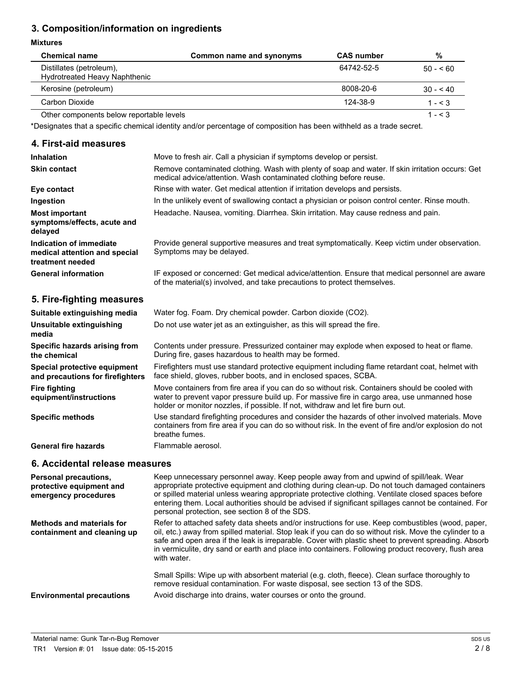## **3. Composition/information on ingredients**

#### **Mixtures**

| <b>Chemical name</b>                                      | Common name and synonyms | <b>CAS</b> number | %          |
|-----------------------------------------------------------|--------------------------|-------------------|------------|
| Distillates (petroleum),<br>Hydrotreated Heavy Naphthenic |                          | 64742-52-5        | $50 - 50$  |
| Kerosine (petroleum)                                      |                          | 8008-20-6         | $30 - 540$ |
| Carbon Dioxide                                            |                          | 124-38-9          | $1 - 5.3$  |
| Other components below reportable levels                  |                          |                   | $1 - 3$    |

\*Designates that a specific chemical identity and/or percentage of composition has been withheld as a trade secret.

#### **4. First-aid measures**

| <b>Inhalation</b>                                                            | Move to fresh air. Call a physician if symptoms develop or persist.                                                                                                        |
|------------------------------------------------------------------------------|----------------------------------------------------------------------------------------------------------------------------------------------------------------------------|
| <b>Skin contact</b>                                                          | Remove contaminated clothing. Wash with plenty of soap and water. If skin irritation occurs: Get<br>medical advice/attention. Wash contaminated clothing before reuse.     |
| Eye contact                                                                  | Rinse with water. Get medical attention if irritation develops and persists.                                                                                               |
| Ingestion                                                                    | In the unlikely event of swallowing contact a physician or poison control center. Rinse mouth.                                                                             |
| <b>Most important</b><br>symptoms/effects, acute and<br>delayed              | Headache. Nausea, vomiting. Diarrhea. Skin irritation. May cause redness and pain.                                                                                         |
| Indication of immediate<br>medical attention and special<br>treatment needed | Provide general supportive measures and treat symptomatically. Keep victim under observation.<br>Symptoms may be delayed.                                                  |
| <b>General information</b>                                                   | IF exposed or concerned: Get medical advice/attention. Ensure that medical personnel are aware<br>of the material(s) involved, and take precautions to protect themselves. |
| 5. Fire-fighting measures                                                    |                                                                                                                                                                            |
| Suitable extinguishing media                                                 | Water fog. Foam. Dry chemical powder. Carbon dioxide (CO2).                                                                                                                |

| Suitable extinguishing media                                     | Water fog. Foam. Dry chemical powder. Carbon dioxide (CO2).                                                                                                                                                                                                                      |
|------------------------------------------------------------------|----------------------------------------------------------------------------------------------------------------------------------------------------------------------------------------------------------------------------------------------------------------------------------|
| Unsuitable extinguishing<br>media                                | Do not use water jet as an extinguisher, as this will spread the fire.                                                                                                                                                                                                           |
| Specific hazards arising from<br>the chemical                    | Contents under pressure. Pressurized container may explode when exposed to heat or flame.<br>During fire, gases hazardous to health may be formed.                                                                                                                               |
| Special protective equipment<br>and precautions for firefighters | Firefighters must use standard protective equipment including flame retardant coat, helmet with<br>face shield, gloves, rubber boots, and in enclosed spaces, SCBA.                                                                                                              |
| <b>Fire fighting</b><br>equipment/instructions                   | Move containers from fire area if you can do so without risk. Containers should be cooled with<br>water to prevent vapor pressure build up. For massive fire in cargo area, use unmanned hose<br>holder or monitor nozzles, if possible. If not, withdraw and let fire burn out. |
| <b>Specific methods</b>                                          | Use standard firefighting procedures and consider the hazards of other involved materials. Move<br>containers from fire area if you can do so without risk. In the event of fire and/or explosion do not<br>breathe fumes.                                                       |
|                                                                  |                                                                                                                                                                                                                                                                                  |

General fire hazards Flammable aerosol.

#### **6. Accidental release measures**

| Keep unnecessary personnel away. Keep people away from and upwind of spill/leak. Wear<br>appropriate protective equipment and clothing during clean-up. Do not touch damaged containers<br>or spilled material unless wearing appropriate protective clothing. Ventilate closed spaces before<br>entering them. Local authorities should be advised if significant spillages cannot be contained. For<br>personal protection, see section 8 of the SDS. |
|---------------------------------------------------------------------------------------------------------------------------------------------------------------------------------------------------------------------------------------------------------------------------------------------------------------------------------------------------------------------------------------------------------------------------------------------------------|
| Refer to attached safety data sheets and/or instructions for use. Keep combustibles (wood, paper,<br>oil, etc.) away from spilled material. Stop leak if you can do so without risk. Move the cylinder to a<br>safe and open area if the leak is irreparable. Cover with plastic sheet to prevent spreading. Absorb<br>in vermiculite, dry sand or earth and place into containers. Following product recovery, flush area<br>with water.               |
| Small Spills: Wipe up with absorbent material (e.g. cloth, fleece). Clean surface thoroughly to<br>remove residual contamination. For waste disposal, see section 13 of the SDS.<br>Avoid discharge into drains, water courses or onto the ground.                                                                                                                                                                                                      |
|                                                                                                                                                                                                                                                                                                                                                                                                                                                         |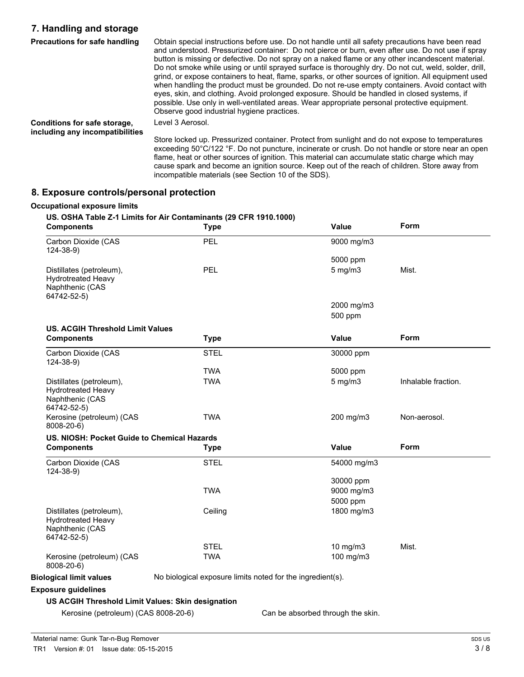## **7. Handling and storage**

| <b>Precautions for safe handling</b>                            | Obtain special instructions before use. Do not handle until all safety precautions have been read<br>and understood. Pressurized container: Do not pierce or burn, even after use. Do not use if spray<br>button is missing or defective. Do not spray on a naked flame or any other incandescent material.<br>Do not smoke while using or until sprayed surface is thoroughly dry. Do not cut, weld, solder, drill,<br>grind, or expose containers to heat, flame, sparks, or other sources of ignition. All equipment used<br>when handling the product must be grounded. Do not re-use empty containers. Avoid contact with<br>eyes, skin, and clothing. Avoid prolonged exposure. Should be handled in closed systems, if<br>possible. Use only in well-ventilated areas. Wear appropriate personal protective equipment.<br>Observe good industrial hygiene practices. |
|-----------------------------------------------------------------|-----------------------------------------------------------------------------------------------------------------------------------------------------------------------------------------------------------------------------------------------------------------------------------------------------------------------------------------------------------------------------------------------------------------------------------------------------------------------------------------------------------------------------------------------------------------------------------------------------------------------------------------------------------------------------------------------------------------------------------------------------------------------------------------------------------------------------------------------------------------------------|
| Conditions for safe storage,<br>including any incompatibilities | Level 3 Aerosol.                                                                                                                                                                                                                                                                                                                                                                                                                                                                                                                                                                                                                                                                                                                                                                                                                                                            |
|                                                                 | Store locked up. Pressurized container. Protect from sunlight and do not expose to temperatures<br>exceeding 50°C/122 °F. Do not puncture, incinerate or crush. Do not handle or store near an open<br>flame, heat or other sources of ignition. This material can accumulate static charge which may<br>cause spark and become an ignition source. Keep out of the reach of children. Store away from<br>incompatible materials (see Section 10 of the SDS).                                                                                                                                                                                                                                                                                                                                                                                                               |

## **8. Exposure controls/personal protection**

#### **Occupational exposure limits**

#### **US. OSHA Table Z-1 Limits for Air Contaminants (29 CFR 1910.1000)**

| <b>Components</b>                                                                       | <b>Type</b>                                                | <b>Value</b>                      | Form                |
|-----------------------------------------------------------------------------------------|------------------------------------------------------------|-----------------------------------|---------------------|
| Carbon Dioxide (CAS<br>$124 - 38 - 9$                                                   | PEL                                                        | 9000 mg/m3                        |                     |
|                                                                                         |                                                            | 5000 ppm                          |                     |
| Distillates (petroleum),<br><b>Hydrotreated Heavy</b><br>Naphthenic (CAS<br>64742-52-5) | <b>PEL</b>                                                 | $5$ mg/m $3$                      | Mist.               |
|                                                                                         |                                                            | 2000 mg/m3                        |                     |
|                                                                                         |                                                            | 500 ppm                           |                     |
| <b>US. ACGIH Threshold Limit Values</b>                                                 |                                                            |                                   |                     |
| <b>Components</b>                                                                       | <b>Type</b>                                                | Value                             | Form                |
| Carbon Dioxide (CAS<br>$124 - 38 - 9$                                                   | <b>STEL</b>                                                | 30000 ppm                         |                     |
|                                                                                         | <b>TWA</b>                                                 | 5000 ppm                          |                     |
| Distillates (petroleum),<br><b>Hydrotreated Heavy</b><br>Naphthenic (CAS<br>64742-52-5) | TWA                                                        | $5 \text{ mg/m}$                  | Inhalable fraction. |
| Kerosine (petroleum) (CAS<br>8008-20-6)                                                 | <b>TWA</b>                                                 | 200 mg/m3                         | Non-aerosol.        |
| US. NIOSH: Pocket Guide to Chemical Hazards                                             |                                                            |                                   |                     |
| <b>Components</b>                                                                       | <b>Type</b>                                                | Value                             | <b>Form</b>         |
| Carbon Dioxide (CAS<br>$124 - 38 - 9$                                                   | <b>STEL</b>                                                | 54000 mg/m3                       |                     |
|                                                                                         |                                                            | 30000 ppm                         |                     |
|                                                                                         | <b>TWA</b>                                                 | 9000 mg/m3                        |                     |
|                                                                                         |                                                            | 5000 ppm                          |                     |
| Distillates (petroleum),<br><b>Hydrotreated Heavy</b><br>Naphthenic (CAS<br>64742-52-5) | Ceiling                                                    | 1800 mg/m3                        |                     |
|                                                                                         | <b>STEL</b>                                                | 10 mg/m3                          | Mist.               |
| Kerosine (petroleum) (CAS<br>8008-20-6)                                                 | <b>TWA</b>                                                 | 100 mg/m3                         |                     |
| <b>Biological limit values</b>                                                          | No biological exposure limits noted for the ingredient(s). |                                   |                     |
| <b>Exposure guidelines</b>                                                              |                                                            |                                   |                     |
| US ACGIH Threshold Limit Values: Skin designation                                       |                                                            |                                   |                     |
| Kerosine (petroleum) (CAS 8008-20-6)                                                    |                                                            | Can be absorbed through the skin. |                     |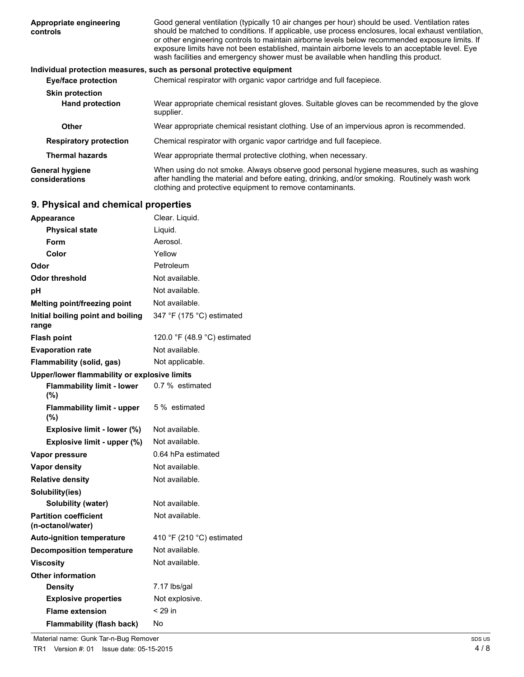| Appropriate engineering<br>controls      | Good general ventilation (typically 10 air changes per hour) should be used. Ventilation rates<br>should be matched to conditions. If applicable, use process enclosures, local exhaust ventilation,<br>or other engineering controls to maintain airborne levels below recommended exposure limits. If<br>exposure limits have not been established, maintain airborne levels to an acceptable level. Eye<br>wash facilities and emergency shower must be available when handling this product. |
|------------------------------------------|--------------------------------------------------------------------------------------------------------------------------------------------------------------------------------------------------------------------------------------------------------------------------------------------------------------------------------------------------------------------------------------------------------------------------------------------------------------------------------------------------|
|                                          | Individual protection measures, such as personal protective equipment                                                                                                                                                                                                                                                                                                                                                                                                                            |
| <b>Eye/face protection</b>               | Chemical respirator with organic vapor cartridge and full facepiece.                                                                                                                                                                                                                                                                                                                                                                                                                             |
| <b>Skin protection</b>                   |                                                                                                                                                                                                                                                                                                                                                                                                                                                                                                  |
| <b>Hand protection</b>                   | Wear appropriate chemical resistant gloves. Suitable gloves can be recommended by the glove<br>supplier.                                                                                                                                                                                                                                                                                                                                                                                         |
| <b>Other</b>                             | Wear appropriate chemical resistant clothing. Use of an impervious apron is recommended.                                                                                                                                                                                                                                                                                                                                                                                                         |
| <b>Respiratory protection</b>            | Chemical respirator with organic vapor cartridge and full facepiece.                                                                                                                                                                                                                                                                                                                                                                                                                             |
| <b>Thermal hazards</b>                   | Wear appropriate thermal protective clothing, when necessary.                                                                                                                                                                                                                                                                                                                                                                                                                                    |
| <b>General hygiene</b><br>considerations | When using do not smoke. Always observe good personal hygiene measures, such as washing<br>after handling the material and before eating, drinking, and/or smoking. Routinely wash work<br>clothing and protective equipment to remove contaminants.                                                                                                                                                                                                                                             |

## **9. Physical and chemical properties**

| <b>Appearance</b>                                 | Clear. Liquid.               |
|---------------------------------------------------|------------------------------|
| <b>Physical state</b>                             | Liquid.                      |
| Form                                              | Aerosol.                     |
| Color                                             | Yellow                       |
| Odor                                              | Petroleum                    |
| Odor threshold                                    | Not available.               |
| рH                                                | Not available.               |
| Melting point/freezing point                      | Not available.               |
| Initial boiling point and boiling<br>range        | 347 °F (175 °C) estimated    |
| <b>Flash point</b>                                | 120.0 °F (48.9 °C) estimated |
| <b>Evaporation rate</b>                           | Not available.               |
| Flammability (solid, gas)                         | Not applicable.              |
| Upper/lower flammability or explosive limits      |                              |
| <b>Flammability limit - lower</b><br>(%)          | 0.7 % estimated              |
| <b>Flammability limit - upper</b><br>(%)          | 5 % estimated                |
| Explosive limit - lower (%)                       | Not available.               |
| Explosive limit - upper (%)                       | Not available.               |
| Vapor pressure                                    | 0.64 hPa estimated           |
| <b>Vapor density</b>                              | Not available.               |
| <b>Relative density</b>                           | Not available.               |
| Solubility(ies)                                   |                              |
| Solubility (water)                                | Not available.               |
| <b>Partition coefficient</b><br>(n-octanol/water) | Not available.               |
| <b>Auto-ignition temperature</b>                  | 410 °F (210 °C) estimated    |
| <b>Decomposition temperature</b>                  | Not available.               |
| Viscosity                                         | Not available.               |
| <b>Other information</b>                          |                              |
| <b>Density</b>                                    | 7.17 lbs/gal                 |
| <b>Explosive properties</b>                       | Not explosive.               |
|                                                   |                              |
| <b>Flame extension</b>                            | $< 29$ in                    |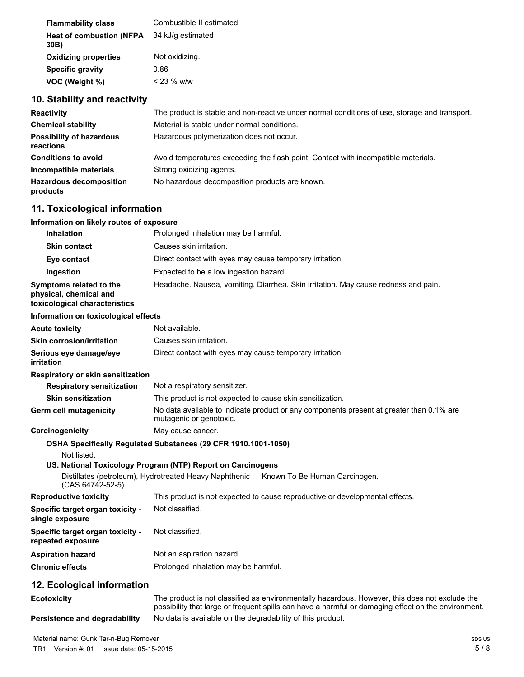| <b>Flammability class</b>                          | Combustible II estimated |
|----------------------------------------------------|--------------------------|
| Heat of combustion (NFPA 34 kJ/g estimated<br>30B) |                          |
| <b>Oxidizing properties</b>                        | Not oxidizing.           |
| <b>Specific gravity</b>                            | 0.86                     |
| VOC (Weight %)                                     | $< 23 \%$ w/w            |

## **10. Stability and reactivity**

| <b>Reactivity</b>                            | The product is stable and non-reactive under normal conditions of use, storage and transport. |
|----------------------------------------------|-----------------------------------------------------------------------------------------------|
| <b>Chemical stability</b>                    | Material is stable under normal conditions.                                                   |
| <b>Possibility of hazardous</b><br>reactions | Hazardous polymerization does not occur.                                                      |
| <b>Conditions to avoid</b>                   | Avoid temperatures exceeding the flash point. Contact with incompatible materials.            |
| Incompatible materials                       | Strong oxidizing agents.                                                                      |
| <b>Hazardous decomposition</b><br>products   | No hazardous decomposition products are known.                                                |

## **11. Toxicological information**

#### **Information on likely routes of exposure**

| <b>Inhalation</b>                                                                  | Prolonged inhalation may be harmful.                                               |
|------------------------------------------------------------------------------------|------------------------------------------------------------------------------------|
| <b>Skin contact</b>                                                                | Causes skin irritation.                                                            |
| Eye contact                                                                        | Direct contact with eyes may cause temporary irritation.                           |
| Ingestion                                                                          | Expected to be a low ingestion hazard.                                             |
| Symptoms related to the<br>physical, chemical and<br>toxicological characteristics | Headache. Nausea, vomiting. Diarrhea. Skin irritation. May cause redness and pain. |

#### **Information on toxicological effects**

| <b>Acute toxicity</b>                                 | Not available.                                                                                                                                                                                        |
|-------------------------------------------------------|-------------------------------------------------------------------------------------------------------------------------------------------------------------------------------------------------------|
| <b>Skin corrosion/irritation</b>                      | Causes skin irritation.                                                                                                                                                                               |
| Serious eye damage/eye<br>irritation                  | Direct contact with eyes may cause temporary irritation.                                                                                                                                              |
| Respiratory or skin sensitization                     |                                                                                                                                                                                                       |
| <b>Respiratory sensitization</b>                      | Not a respiratory sensitizer.                                                                                                                                                                         |
| <b>Skin sensitization</b>                             | This product is not expected to cause skin sensitization.                                                                                                                                             |
| Germ cell mutagenicity                                | No data available to indicate product or any components present at greater than 0.1% are<br>mutagenic or genotoxic.                                                                                   |
| Carcinogenicity                                       | May cause cancer.                                                                                                                                                                                     |
|                                                       | OSHA Specifically Regulated Substances (29 CFR 1910.1001-1050)                                                                                                                                        |
| Not listed.                                           | US. National Toxicology Program (NTP) Report on Carcinogens                                                                                                                                           |
| (CAS 64742-52-5)                                      | Distillates (petroleum), Hydrotreated Heavy Naphthenic<br>Known To Be Human Carcinogen.                                                                                                               |
| <b>Reproductive toxicity</b>                          | This product is not expected to cause reproductive or developmental effects.                                                                                                                          |
| Specific target organ toxicity -<br>single exposure   | Not classified.                                                                                                                                                                                       |
| Specific target organ toxicity -<br>repeated exposure | Not classified.                                                                                                                                                                                       |
| <b>Aspiration hazard</b>                              | Not an aspiration hazard.                                                                                                                                                                             |
| <b>Chronic effects</b>                                | Prolonged inhalation may be harmful.                                                                                                                                                                  |
| 12. Ecological information                            |                                                                                                                                                                                                       |
| <b>Ecotoxicity</b>                                    | The product is not classified as environmentally hazardous. However, this does not exclude the<br>possibility that large or frequent spills can have a harmful or damaging effect on the environment. |

**Persistence and degradability** No data is available on the degradability of this product.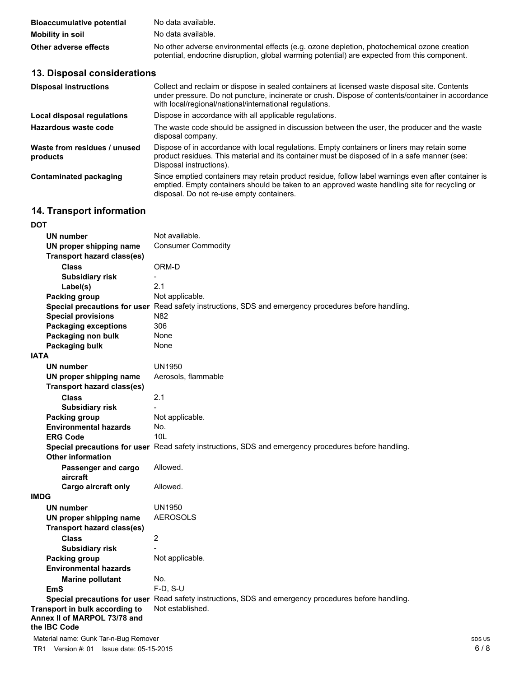| <b>Bioaccumulative potential</b> | No data available.                                                                                                                                                                         |
|----------------------------------|--------------------------------------------------------------------------------------------------------------------------------------------------------------------------------------------|
| <b>Mobility in soil</b>          | No data available.                                                                                                                                                                         |
| Other adverse effects            | No other adverse environmental effects (e.g. ozone depletion, photochemical ozone creation<br>potential, endocrine disruption, global warming potential) are expected from this component. |

## **13. Disposal considerations**

| <b>Disposal instructions</b>             | Collect and reclaim or dispose in sealed containers at licensed waste disposal site. Contents<br>under pressure. Do not puncture, incinerate or crush. Dispose of contents/container in accordance<br>with local/regional/national/international regulations. |
|------------------------------------------|---------------------------------------------------------------------------------------------------------------------------------------------------------------------------------------------------------------------------------------------------------------|
| Local disposal regulations               | Dispose in accordance with all applicable regulations.                                                                                                                                                                                                        |
| Hazardous waste code                     | The waste code should be assigned in discussion between the user, the producer and the waste<br>disposal company.                                                                                                                                             |
| Waste from residues / unused<br>products | Dispose of in accordance with local regulations. Empty containers or liners may retain some<br>product residues. This material and its container must be disposed of in a safe manner (see:<br>Disposal instructions).                                        |
| Contaminated packaging                   | Since emptied containers may retain product residue, follow label warnings even after container is<br>emptied. Empty containers should be taken to an approved waste handling site for recycling or<br>disposal. Do not re-use empty containers.              |

## **14. Transport information**

| Not available.<br><b>UN number</b><br><b>Consumer Commodity</b><br>UN proper shipping name<br><b>Transport hazard class(es)</b><br><b>Class</b><br>ORM-D<br><b>Subsidiary risk</b><br>2.1<br>Label(s)<br><b>Packing group</b><br>Not applicable.<br>Special precautions for user Read safety instructions, SDS and emergency procedures before handling.<br>N82<br><b>Special provisions</b><br>306<br><b>Packaging exceptions</b><br>Packaging non bulk<br>None<br>Packaging bulk<br>None<br><b>IATA</b><br>UN1950<br><b>UN number</b><br>Aerosols, flammable<br>UN proper shipping name | DOT                               |  |
|-------------------------------------------------------------------------------------------------------------------------------------------------------------------------------------------------------------------------------------------------------------------------------------------------------------------------------------------------------------------------------------------------------------------------------------------------------------------------------------------------------------------------------------------------------------------------------------------|-----------------------------------|--|
|                                                                                                                                                                                                                                                                                                                                                                                                                                                                                                                                                                                           |                                   |  |
|                                                                                                                                                                                                                                                                                                                                                                                                                                                                                                                                                                                           |                                   |  |
|                                                                                                                                                                                                                                                                                                                                                                                                                                                                                                                                                                                           |                                   |  |
|                                                                                                                                                                                                                                                                                                                                                                                                                                                                                                                                                                                           |                                   |  |
|                                                                                                                                                                                                                                                                                                                                                                                                                                                                                                                                                                                           |                                   |  |
|                                                                                                                                                                                                                                                                                                                                                                                                                                                                                                                                                                                           |                                   |  |
|                                                                                                                                                                                                                                                                                                                                                                                                                                                                                                                                                                                           |                                   |  |
|                                                                                                                                                                                                                                                                                                                                                                                                                                                                                                                                                                                           |                                   |  |
|                                                                                                                                                                                                                                                                                                                                                                                                                                                                                                                                                                                           |                                   |  |
|                                                                                                                                                                                                                                                                                                                                                                                                                                                                                                                                                                                           |                                   |  |
|                                                                                                                                                                                                                                                                                                                                                                                                                                                                                                                                                                                           |                                   |  |
|                                                                                                                                                                                                                                                                                                                                                                                                                                                                                                                                                                                           |                                   |  |
|                                                                                                                                                                                                                                                                                                                                                                                                                                                                                                                                                                                           |                                   |  |
|                                                                                                                                                                                                                                                                                                                                                                                                                                                                                                                                                                                           |                                   |  |
|                                                                                                                                                                                                                                                                                                                                                                                                                                                                                                                                                                                           |                                   |  |
|                                                                                                                                                                                                                                                                                                                                                                                                                                                                                                                                                                                           | <b>Transport hazard class(es)</b> |  |
| 2.1<br><b>Class</b>                                                                                                                                                                                                                                                                                                                                                                                                                                                                                                                                                                       |                                   |  |
| <b>Subsidiary risk</b>                                                                                                                                                                                                                                                                                                                                                                                                                                                                                                                                                                    |                                   |  |
| Not applicable.<br><b>Packing group</b>                                                                                                                                                                                                                                                                                                                                                                                                                                                                                                                                                   |                                   |  |
| <b>Environmental hazards</b><br>No.                                                                                                                                                                                                                                                                                                                                                                                                                                                                                                                                                       |                                   |  |
| 10 <sub>L</sub><br><b>ERG Code</b>                                                                                                                                                                                                                                                                                                                                                                                                                                                                                                                                                        |                                   |  |
| Special precautions for user Read safety instructions, SDS and emergency procedures before handling.                                                                                                                                                                                                                                                                                                                                                                                                                                                                                      |                                   |  |
| <b>Other information</b>                                                                                                                                                                                                                                                                                                                                                                                                                                                                                                                                                                  |                                   |  |
| Allowed.<br>Passenger and cargo                                                                                                                                                                                                                                                                                                                                                                                                                                                                                                                                                           |                                   |  |
| aircraft                                                                                                                                                                                                                                                                                                                                                                                                                                                                                                                                                                                  |                                   |  |
| <b>Cargo aircraft only</b><br>Allowed.                                                                                                                                                                                                                                                                                                                                                                                                                                                                                                                                                    |                                   |  |
| <b>IMDG</b>                                                                                                                                                                                                                                                                                                                                                                                                                                                                                                                                                                               |                                   |  |
| <b>UN1950</b><br><b>UN number</b>                                                                                                                                                                                                                                                                                                                                                                                                                                                                                                                                                         |                                   |  |
| <b>AEROSOLS</b><br>UN proper shipping name                                                                                                                                                                                                                                                                                                                                                                                                                                                                                                                                                |                                   |  |
| <b>Transport hazard class(es)</b>                                                                                                                                                                                                                                                                                                                                                                                                                                                                                                                                                         |                                   |  |
| $\overline{2}$<br>Class                                                                                                                                                                                                                                                                                                                                                                                                                                                                                                                                                                   |                                   |  |
| <b>Subsidiary risk</b>                                                                                                                                                                                                                                                                                                                                                                                                                                                                                                                                                                    |                                   |  |
| Not applicable.<br><b>Packing group</b>                                                                                                                                                                                                                                                                                                                                                                                                                                                                                                                                                   |                                   |  |
| <b>Environmental hazards</b>                                                                                                                                                                                                                                                                                                                                                                                                                                                                                                                                                              |                                   |  |
| No.<br><b>Marine pollutant</b>                                                                                                                                                                                                                                                                                                                                                                                                                                                                                                                                                            |                                   |  |
| EmS<br>$F-D$ , S-U                                                                                                                                                                                                                                                                                                                                                                                                                                                                                                                                                                        |                                   |  |
| Special precautions for user Read safety instructions, SDS and emergency procedures before handling.                                                                                                                                                                                                                                                                                                                                                                                                                                                                                      |                                   |  |
| Transport in bulk according to<br>Not established.                                                                                                                                                                                                                                                                                                                                                                                                                                                                                                                                        |                                   |  |
| Annex II of MARPOL 73/78 and                                                                                                                                                                                                                                                                                                                                                                                                                                                                                                                                                              |                                   |  |
| the IBC Code                                                                                                                                                                                                                                                                                                                                                                                                                                                                                                                                                                              |                                   |  |

Material name: Gunk Tar-n-Bug Remover TR1 Version #: 01 Issue date: 05-15-2015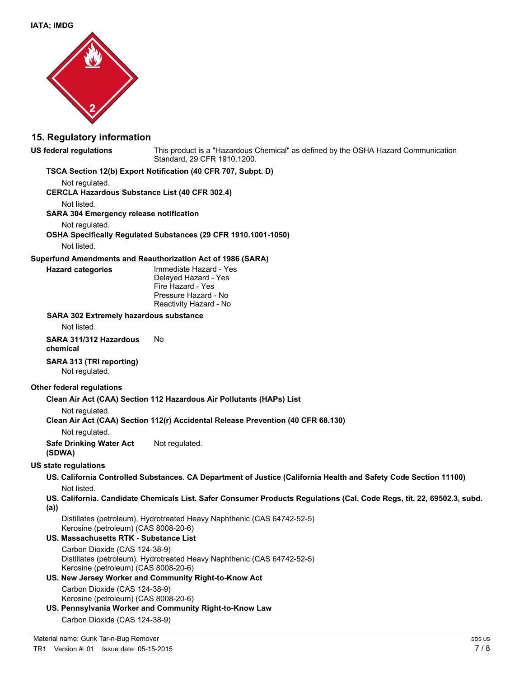

#### **15. Regulatory information**

#### **US federal regulations**

This product is a "Hazardous Chemical" as defined by the OSHA Hazard Communication Standard, 29 CFR 1910.1200.

#### **TSCA Section 12(b) Export Notification (40 CFR 707, Subpt. D)**

Not regulated.

**CERCLA Hazardous Substance List (40 CFR 302.4)**

Not listed.

**SARA 304 Emergency release notification**

Not regulated.

**OSHA Specifically Regulated Substances (29 CFR 1910.1001-1050)**

Not listed.

**Hazard categories**

#### **Superfund Amendments and Reauthorization Act of 1986 (SARA)**

Immediate Hazard - Yes Delayed Hazard - Yes Fire Hazard - Yes Pressure Hazard - No Reactivity Hazard - No

#### **SARA 302 Extremely hazardous substance**

Not listed.

**SARA 311/312 Hazardous** No

**chemical**

**SARA 313 (TRI reporting)** Not regulated.

#### **Other federal regulations**

#### **Clean Air Act (CAA) Section 112 Hazardous Air Pollutants (HAPs) List**

Not regulated.

#### **Clean Air Act (CAA) Section 112(r) Accidental Release Prevention (40 CFR 68.130)**

Not regulated.

**Safe Drinking Water Act** Not regulated. **(SDWA)**

#### **US state regulations**

**US. California Controlled Substances. CA Department of Justice (California Health and Safety Code Section 11100)** Not listed.

## **US. California. Candidate Chemicals List. Safer Consumer Products Regulations (Cal. Code Regs, tit. 22, 69502.3, subd.**

**(a))**

Distillates (petroleum), Hydrotreated Heavy Naphthenic (CAS 64742-52-5) Kerosine (petroleum) (CAS 8008-20-6)

#### **US. Massachusetts RTK - Substance List**

Carbon Dioxide (CAS 124-38-9) Distillates (petroleum), Hydrotreated Heavy Naphthenic (CAS 64742-52-5) Kerosine (petroleum) (CAS 8008-20-6)

#### **US. New Jersey Worker and Community Right-to-Know Act**

Carbon Dioxide (CAS 124-38-9) Kerosine (petroleum) (CAS 8008-20-6)

**US. Pennsylvania Worker and Community Right-to-Know Law**

Carbon Dioxide (CAS 124-38-9)